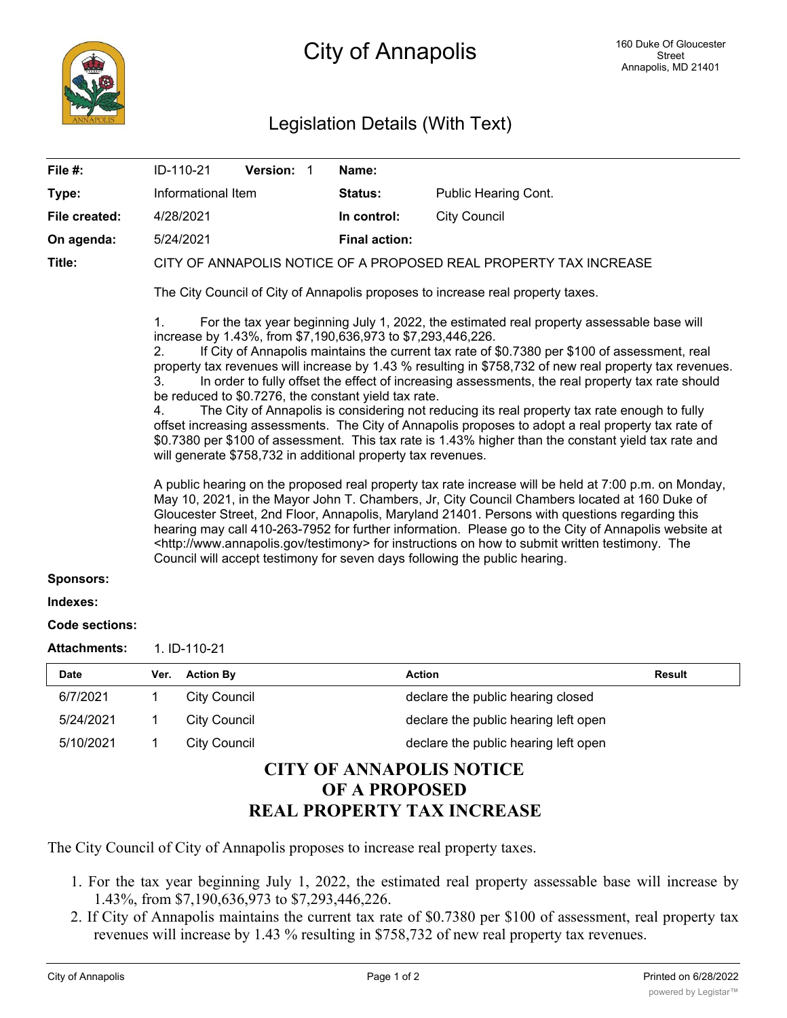## Legislation Details (With Text)

| File #:               |                                                                                                                                                                                                                                                                                                                                                                                                                                                                                                                                                                                                               | ID-110-21 |                     | Version: 1 |  |  | Name:                                                             |                                      |               |  |
|-----------------------|---------------------------------------------------------------------------------------------------------------------------------------------------------------------------------------------------------------------------------------------------------------------------------------------------------------------------------------------------------------------------------------------------------------------------------------------------------------------------------------------------------------------------------------------------------------------------------------------------------------|-----------|---------------------|------------|--|--|-------------------------------------------------------------------|--------------------------------------|---------------|--|
| Type:                 | Informational Item                                                                                                                                                                                                                                                                                                                                                                                                                                                                                                                                                                                            |           |                     |            |  |  | <b>Status:</b>                                                    | Public Hearing Cont.                 |               |  |
| File created:         | 4/28/2021                                                                                                                                                                                                                                                                                                                                                                                                                                                                                                                                                                                                     |           |                     |            |  |  | In control:                                                       | <b>City Council</b>                  |               |  |
| On agenda:            | 5/24/2021                                                                                                                                                                                                                                                                                                                                                                                                                                                                                                                                                                                                     |           |                     |            |  |  | <b>Final action:</b>                                              |                                      |               |  |
| Title:                |                                                                                                                                                                                                                                                                                                                                                                                                                                                                                                                                                                                                               |           |                     |            |  |  | CITY OF ANNAPOLIS NOTICE OF A PROPOSED REAL PROPERTY TAX INCREASE |                                      |               |  |
|                       | The City Council of City of Annapolis proposes to increase real property taxes.                                                                                                                                                                                                                                                                                                                                                                                                                                                                                                                               |           |                     |            |  |  |                                                                   |                                      |               |  |
|                       | For the tax year beginning July 1, 2022, the estimated real property assessable base will<br>1.<br>increase by 1.43%, from \$7,190,636,973 to \$7,293,446,226.                                                                                                                                                                                                                                                                                                                                                                                                                                                |           |                     |            |  |  |                                                                   |                                      |               |  |
|                       | If City of Annapolis maintains the current tax rate of \$0.7380 per \$100 of assessment, real<br>2.<br>property tax revenues will increase by 1.43 % resulting in \$758,732 of new real property tax revenues.<br>In order to fully offset the effect of increasing assessments, the real property tax rate should<br>3.                                                                                                                                                                                                                                                                                      |           |                     |            |  |  |                                                                   |                                      |               |  |
|                       | be reduced to \$0.7276, the constant yield tax rate.<br>The City of Annapolis is considering not reducing its real property tax rate enough to fully<br>4.<br>offset increasing assessments. The City of Annapolis proposes to adopt a real property tax rate of<br>\$0.7380 per \$100 of assessment. This tax rate is 1.43% higher than the constant yield tax rate and<br>will generate \$758,732 in additional property tax revenues.                                                                                                                                                                      |           |                     |            |  |  |                                                                   |                                      |               |  |
|                       | A public hearing on the proposed real property tax rate increase will be held at 7:00 p.m. on Monday,<br>May 10, 2021, in the Mayor John T. Chambers, Jr, City Council Chambers located at 160 Duke of<br>Gloucester Street, 2nd Floor, Annapolis, Maryland 21401. Persons with questions regarding this<br>hearing may call 410-263-7952 for further information. Please go to the City of Annapolis website at<br><http: testimony="" www.annapolis.gov=""> for instructions on how to submit written testimony. The<br/>Council will accept testimony for seven days following the public hearing.</http:> |           |                     |            |  |  |                                                                   |                                      |               |  |
| <b>Sponsors:</b>      |                                                                                                                                                                                                                                                                                                                                                                                                                                                                                                                                                                                                               |           |                     |            |  |  |                                                                   |                                      |               |  |
| Indexes:              |                                                                                                                                                                                                                                                                                                                                                                                                                                                                                                                                                                                                               |           |                     |            |  |  |                                                                   |                                      |               |  |
| <b>Code sections:</b> |                                                                                                                                                                                                                                                                                                                                                                                                                                                                                                                                                                                                               |           |                     |            |  |  |                                                                   |                                      |               |  |
| <b>Attachments:</b>   | 1. ID-110-21                                                                                                                                                                                                                                                                                                                                                                                                                                                                                                                                                                                                  |           |                     |            |  |  |                                                                   |                                      |               |  |
| Date                  | Ver.                                                                                                                                                                                                                                                                                                                                                                                                                                                                                                                                                                                                          |           | <b>Action By</b>    |            |  |  | <b>Action</b>                                                     |                                      | <b>Result</b> |  |
| 6/7/2021              | 1                                                                                                                                                                                                                                                                                                                                                                                                                                                                                                                                                                                                             |           | <b>City Council</b> |            |  |  |                                                                   | declare the public hearing closed    |               |  |
| 5/24/2021             | 1                                                                                                                                                                                                                                                                                                                                                                                                                                                                                                                                                                                                             |           | <b>City Council</b> |            |  |  |                                                                   | declare the public hearing left open |               |  |

5/10/2021 1 City Council declare the public hearing left open

## **CITY OF ANNAPOLIS NOTICE OF A PROPOSED REAL PROPERTY TAX INCREASE**

The City Council of City of Annapolis proposes to increase real property taxes.

- 1. For the tax year beginning July 1, 2022, the estimated real property assessable base will increase by 1.43%, from \$7,190,636,973 to \$7,293,446,226.
- 2. If City of Annapolis maintains the current tax rate of \$0.7380 per \$100 of assessment, real property tax revenues will increase by 1.43 % resulting in \$758,732 of new real property tax revenues.